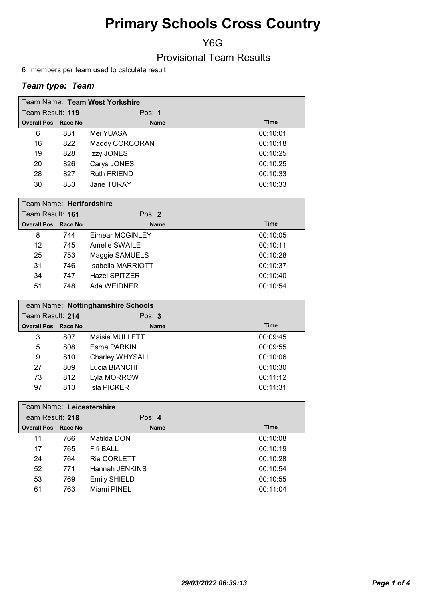Y6G

Provisional Team Results

6 members per team used to calculate result

| Team Name: Team West Yorkshire |     |                    |          |  |  |
|--------------------------------|-----|--------------------|----------|--|--|
| Team Result: 119               |     | Pos: $1$           |          |  |  |
| <b>Overall Pos Race No</b>     |     | <b>Name</b>        | Time     |  |  |
| 6                              | 831 | Mei YUASA          | 00:10:01 |  |  |
| 16                             | 822 | Maddy CORCORAN     | 00:10:18 |  |  |
| 19                             | 828 | Izzy JONES         | 00:10:25 |  |  |
| 20                             | 826 | Carys JONES        | 00:10:25 |  |  |
| 28                             | 827 | <b>Ruth FRIEND</b> | 00:10:33 |  |  |
| 30                             | 833 | Jane TURAY         | 00:10:33 |  |  |

|                            | Team Name: Hertfordshire |                      |             |  |  |
|----------------------------|--------------------------|----------------------|-------------|--|--|
| Team Result: 161           |                          | Pos: $2$             |             |  |  |
| <b>Overall Pos Race No</b> |                          | <b>Name</b>          | <b>Time</b> |  |  |
| 8                          | 744                      | Eimear MCGINLEY      | 00:10:05    |  |  |
| 12                         | 745                      | Amelie SWAILE        | 00:10:11    |  |  |
| 25                         | 753                      | Maggie SAMUELS       | 00:10:28    |  |  |
| 31                         | 746                      | Isabella MARRIOTT    | 00:10:37    |  |  |
| 34                         | 747                      | <b>Hazel SPITZER</b> | 00:10:40    |  |  |
| 51                         | 748                      | Ada WEIDNER          | 00:10:54    |  |  |

| Team Name: Nottinghamshire Schools |     |                 |             |  |
|------------------------------------|-----|-----------------|-------------|--|
| Team Result: 214                   |     | Pos: $3$        |             |  |
| <b>Overall Pos Race No</b>         |     | <b>Name</b>     | <b>Time</b> |  |
| 3                                  | 807 | Maisie MULLETT  | 00:09:45    |  |
| 5                                  | 808 | Esme PARKIN     | 00:09:55    |  |
| 9                                  | 810 | Charley WHYSALL | 00:10:06    |  |
| 27                                 | 809 | Lucia BIANCHI   | 00:10:30    |  |
| 73                                 | 812 | Lyla MORROW     | 00:11:12    |  |
| 97                                 | 813 | Isla PICKER     | 00:11:31    |  |

|                  | Team Name: Leicestershire |         |                     |             |  |
|------------------|---------------------------|---------|---------------------|-------------|--|
| Team Result: 218 |                           |         | Pos: $4$            |             |  |
|                  | <b>Overall Pos</b>        | Race No | <b>Name</b>         | <b>Time</b> |  |
|                  | 11                        | 766     | Matilda DON         | 00:10:08    |  |
|                  | 17                        | 765     | Fifi BALL           | 00:10:19    |  |
|                  | 24                        | 764     | <b>Ria CORLETT</b>  | 00:10:28    |  |
|                  | 52                        | 771     | Hannah JENKINS      | 00:10:54    |  |
|                  | 53                        | 769     | <b>Emily SHIELD</b> | 00:10:55    |  |
|                  | 61                        | 763     | Miami PINEL         | 00:11:04    |  |
|                  |                           |         |                     |             |  |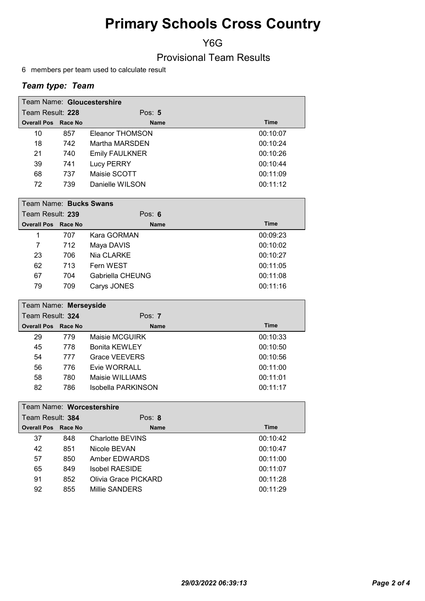Y6G

Provisional Team Results

6 members per team used to calculate result

| Team Name: Gloucestershire |     |                       |             |  |
|----------------------------|-----|-----------------------|-------------|--|
| Team Result: 228           |     | Pos: $5$              |             |  |
| <b>Overall Pos Race No</b> |     | <b>Name</b>           | <b>Time</b> |  |
| 10                         | 857 | Eleanor THOMSON       | 00:10:07    |  |
| 18                         | 742 | Martha MARSDEN        | 00:10:24    |  |
| 21                         | 740 | <b>Emily FAULKNER</b> | 00:10:26    |  |
| 39                         | 741 | <b>Lucy PERRY</b>     | 00:10:44    |  |
| 68                         | 737 | Maisie SCOTT          | 00:11:09    |  |
| 72                         | 739 | Danielle WILSON       | 00:11:12    |  |

|                  | Team Name: Bucks Swans     |                  |             |  |  |
|------------------|----------------------------|------------------|-------------|--|--|
| Team Result: 239 |                            | Pos: $6$         |             |  |  |
|                  | <b>Overall Pos Race No</b> | <b>Name</b>      | <b>Time</b> |  |  |
| 1                | 707                        | Kara GORMAN      | 00:09:23    |  |  |
| 7                | 712                        | Maya DAVIS       | 00:10:02    |  |  |
| 23               | 706                        | Nia CLARKE       | 00:10:27    |  |  |
| 62               | 713                        | Fern WEST        | 00:11:05    |  |  |
| 67               | 704                        | Gabriella CHEUNG | 00:11:08    |  |  |
| 79               | 709                        | Carys JONES      | 00:11:16    |  |  |

| Team Name: Merseyside      |     |                      |             |  |
|----------------------------|-----|----------------------|-------------|--|
| Team Result: 324           |     | Pos: $7$             |             |  |
| <b>Overall Pos Race No</b> |     | <b>Name</b>          | <b>Time</b> |  |
| 29                         | 779 | Maisie MCGUIRK       | 00:10:33    |  |
| 45                         | 778 | <b>Bonita KEWLEY</b> | 00:10:50    |  |
| 54                         | 777 | <b>Grace VEEVERS</b> | 00:10:56    |  |
| 56                         | 776 | Evie WORRALL         | 00:11:00    |  |
| 58                         | 780 | Maisie WILLIAMS      | 00:11:01    |  |
| 82                         | 786 | Isobella PARKINSON   | 00:11:17    |  |

| Team Name: Worcestershire     |                      |             |  |
|-------------------------------|----------------------|-------------|--|
| Team Result: 384              | Pos: $8$             |             |  |
| <b>Overall Pos</b><br>Race No | <b>Name</b>          | <b>Time</b> |  |
| 848                           | Charlotte BEVINS     | 00:10:42    |  |
| 851                           | Nicole BEVAN         | 00:10:47    |  |
| 850                           | Amber FDWARDS        | 00:11:00    |  |
| 849                           | Isobel RAESIDE       | 00:11:07    |  |
| 852                           | Olivia Grace PICKARD | 00:11:28    |  |
| 855                           | Millie SANDERS       | 00:11:29    |  |
|                               |                      |             |  |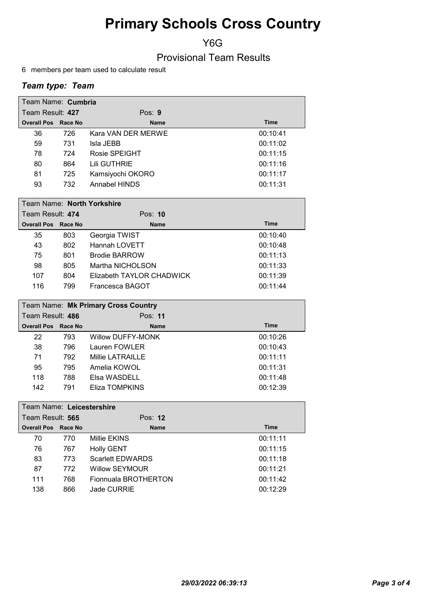Y6G

Provisional Team Results

6 members per team used to calculate result

| Team Name: Cumbria         |     |                    |             |  |
|----------------------------|-----|--------------------|-------------|--|
| Team Result: 427           |     | Pos: $9$           |             |  |
| <b>Overall Pos Race No</b> |     | <b>Name</b>        | <b>Time</b> |  |
| 36                         | 726 | Kara VAN DER MERWE | 00:10:41    |  |
| 59                         | 731 | Isla JEBB          | 00:11:02    |  |
| 78                         | 724 | Rosie SPEIGHT      | 00:11:15    |  |
| 80                         | 864 | Lili GUTHRIE       | 00:11:16    |  |
| 81                         | 725 | Kamsiyochi OKORO   | 00:11:17    |  |
| 93                         | 732 | Annabel HINDS      | 00:11:31    |  |

| Team Name: North Yorkshire |     |                           |             |
|----------------------------|-----|---------------------------|-------------|
| Team Result: 474           |     | Pos: <b>10</b>            |             |
| <b>Overall Pos Race No</b> |     | <b>Name</b>               | <b>Time</b> |
| 35                         | 803 | Georgia TWIST             | 00:10:40    |
| 43                         | 802 | Hannah LOVETT             | 00:10:48    |
| 75                         | 801 | <b>Brodie BARROW</b>      | 00:11:13    |
| 98                         | 805 | Martha NICHOLSON          | 00:11:33    |
| 107                        | 804 | Elizabeth TAYLOR CHADWICK | 00:11:39    |
| 116                        | 799 | Francesca BAGOT           | 00:11:44    |

| Team Name: Mk Primary Cross Country |     |                   |             |  |
|-------------------------------------|-----|-------------------|-------------|--|
| Team Result: 486                    |     | Pos: 11           |             |  |
| <b>Overall Pos Race No</b>          |     | <b>Name</b>       | <b>Time</b> |  |
| 22                                  | 793 | Willow DUFFY-MONK | 00:10:26    |  |
| 38                                  | 796 | Lauren FOWLER     | 00:10:43    |  |
| 71                                  | 792 | Millie LATRAILLE  | 00:11:11    |  |
| 95                                  | 795 | Amelia KOWOL      | 00:11:31    |  |
| 118                                 | 788 | Elsa WASDELL      | 00:11:48    |  |
| 142                                 | 791 | Eliza TOMPKINS    | 00:12:39    |  |

|                  | Team Name: Leicestershire |         |                         |             |
|------------------|---------------------------|---------|-------------------------|-------------|
| Team Result: 565 |                           |         | Pos: 12                 |             |
|                  | <b>Overall Pos</b>        | Race No | <b>Name</b>             | <b>Time</b> |
|                  | 70                        | 770     | Millie EKINS            | 00:11:11    |
|                  | 76                        | 767     | <b>Holly GENT</b>       | 00:11:15    |
|                  | 83                        | 773     | <b>Scarlett EDWARDS</b> | 00:11:18    |
|                  | 87                        | 772     | Willow SEYMOUR          | 00:11:21    |
|                  | 111                       | 768     | Fionnuala BROTHERTON    | 00:11:42    |
|                  | 138                       | 866     | Jade CURRIE             | 00:12:29    |
|                  |                           |         |                         |             |